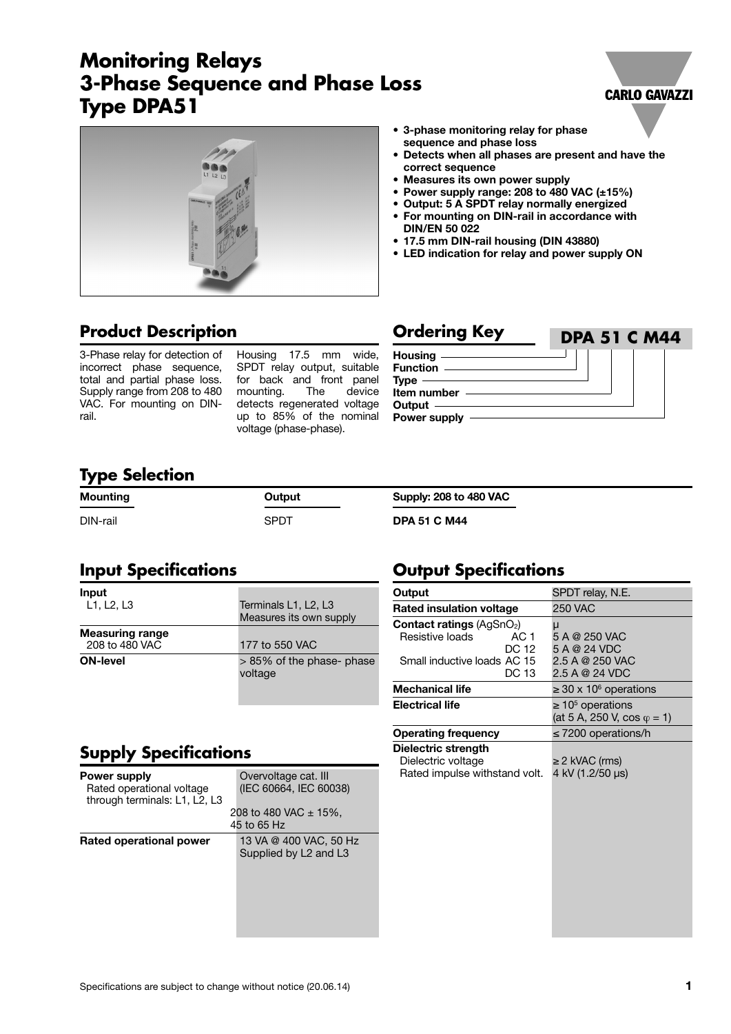# **Monitoring Relays 3-Phase Sequence and Phase Loss Type DPA51**





# **Product Description**

3-Phase relay for detection of incorrect phase sequence, total and partial phase loss. Supply range from 208 to 480 VAC. For mounting on DINrail.

Housing 17.5 mm wide, SPDT relay output, suitable for back and front panel mounting. The device detects regenerated voltage up to 85% of the nominal voltage (phase-phase).

**Ordering Key Housing Function Type Item number Output Power supply DPA 51 C M44**

#### **Type Selection**

| ---      |        |                               |
|----------|--------|-------------------------------|
| Mounting | Output | <b>Supply: 208 to 480 VAC</b> |
| DIN-rail | SPDT   | <b>DPA 51 C M44</b>           |

#### **Input Specifications**

| Input<br>L1, L2, L3                      | Terminals L1, L2, L3<br>Measures its own supply |  |  |
|------------------------------------------|-------------------------------------------------|--|--|
| <b>Measuring range</b><br>208 to 480 VAC | 177 to 550 VAC                                  |  |  |
| <b>ON-level</b>                          | > 85% of the phase- phase<br>voltage            |  |  |

# **Supply Specifications**

| <b>Power supply</b><br>Rated operational voltage<br>through terminals: L1, L2, L3 | Overvoltage cat. III<br>(IEC 60664, IEC 60038)<br>208 to 480 VAC $\pm$ 15%,<br>45 to 65 Hz |
|-----------------------------------------------------------------------------------|--------------------------------------------------------------------------------------------|
| Rated operational power                                                           | 13 VA @ 400 VAC, 50 Hz<br>Supplied by L2 and L3                                            |

### **Output Specifications**

**sequence and phase loss** 

**correct sequence**

**DIN/EN 50 022**

| Output                                                                                                        | SPDT relay, N.E.                                             |  |
|---------------------------------------------------------------------------------------------------------------|--------------------------------------------------------------|--|
| <b>Rated insulation voltage</b>                                                                               | 250 VAC                                                      |  |
| <b>Contact ratings (AgSnO<sub>2</sub>)</b><br>Resistive loads<br>AC 1<br>DC 12<br>Small inductive loads AC 15 | μ<br>5 A @ 250 VAC<br>5 A @ 24 VDC<br>2.5 A @ 250 VAC        |  |
| DC 13<br><b>Mechanical life</b>                                                                               | 2.5 A @ 24 VDC<br>$\geq$ 30 x 10 <sup>6</sup> operations     |  |
| <b>Electrical life</b>                                                                                        | $\geq 10^5$ operations<br>(at 5 A, 250 V, cos $\varphi$ = 1) |  |
| <b>Operating frequency</b>                                                                                    | $\leq$ 7200 operations/h                                     |  |
| Dielectric strength<br>Dielectric voltage<br>Rated impulse withstand volt.                                    | $\geq$ 2 kVAC (rms)<br>4 kV (1.2/50 us)                      |  |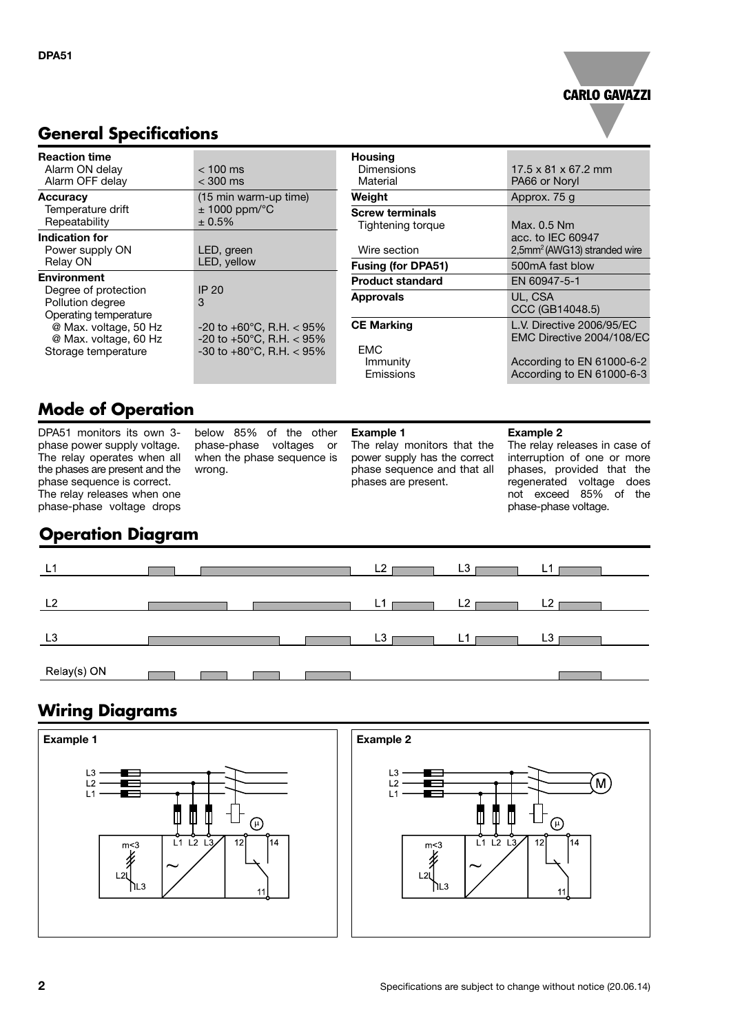# **CARLO GAVAZZI**

#### **General Specifications**

| <b>Reaction time</b><br>Alarm ON delay<br>Alarm OFF delay                                                                                                                                                                                                                        | $< 100$ ms<br>$<$ 300 ms        | <b>Housing</b><br><b>Dimensions</b><br>Material | $17.5 \times 81 \times 67.2$ mm<br>PA66 or Noryl              |
|----------------------------------------------------------------------------------------------------------------------------------------------------------------------------------------------------------------------------------------------------------------------------------|---------------------------------|-------------------------------------------------|---------------------------------------------------------------|
| <b>Accuracy</b>                                                                                                                                                                                                                                                                  | (15 min warm-up time)           | Weight                                          | Approx. 75 g                                                  |
| Temperature drift<br>Repeatability                                                                                                                                                                                                                                               | $± 1000$ ppm/ $°C$<br>$± 0.5\%$ | <b>Screw terminals</b><br>Tightening torque     | Max. 0.5 Nm                                                   |
| <b>Indication for</b><br>Power supply ON                                                                                                                                                                                                                                         | LED, green                      | Wire section                                    | acc. to IEC 60947<br>2,5mm <sup>2</sup> (AWG13) stranded wire |
| LED, yellow<br>Relay ON                                                                                                                                                                                                                                                          | <b>Fusing (for DPA51)</b>       | 500mA fast blow                                 |                                                               |
| <b>Environment</b>                                                                                                                                                                                                                                                               |                                 | <b>Product standard</b>                         | EN 60947-5-1                                                  |
| Degree of protection<br>IP 20<br>3<br>Pollution degree<br>Operating temperature<br>@ Max. voltage, 50 Hz<br>$-20$ to $+60^{\circ}$ C, R.H. $<$ 95%<br>@ Max. voltage, 60 Hz<br>-20 to +50 $^{\circ}$ C, R.H. < 95%<br>-30 to +80 $^{\circ}$ C, R.H. < 95%<br>Storage temperature | <b>Approvals</b>                | UL. CSA<br>CCC (GB14048.5)                      |                                                               |
|                                                                                                                                                                                                                                                                                  |                                 | <b>CE Marking</b>                               | L.V. Directive 2006/95/EC<br>EMC Directive 2004/108/EC        |
|                                                                                                                                                                                                                                                                                  |                                 | <b>EMC</b><br>Immunity<br>Emissions             | According to EN 61000-6-2<br>According to EN 61000-6-3        |

# **Mode of Operation**

DPA51 monitors its own 3 phase power supply voltage. The relay operates when all the phases are present and the phase sequence is correct. The relay releases when one phase-phase voltage drops

below 85% of the other phase-phase voltages or when the phase sequence is wrong.

#### **Example 1**

The relay monitors that the power supply has the correct phase sequence and that all phases are present.

#### **Example 2**

The relay releases in case of interruption of one or more phases, provided that the regenerated voltage does not exceed 85% of the phase-phase voltage.

### **Operation Diagram**



### **Wiring Diagrams**